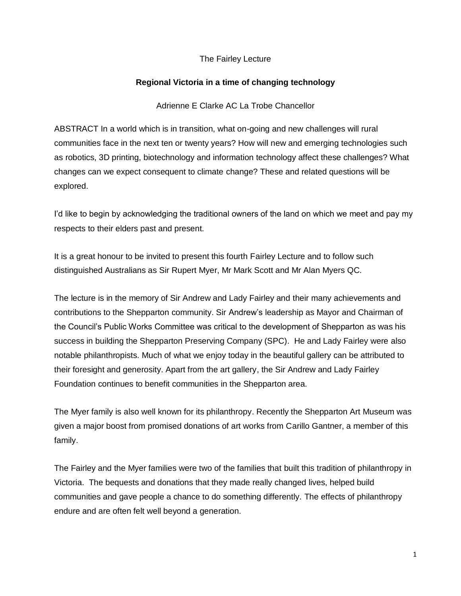## The Fairley Lecture

## **Regional Victoria in a time of changing technology**

Adrienne E Clarke AC La Trobe Chancellor

ABSTRACT In a world which is in transition, what on-going and new challenges will rural communities face in the next ten or twenty years? How will new and emerging technologies such as robotics, 3D printing, biotechnology and information technology affect these challenges? What changes can we expect consequent to climate change? These and related questions will be explored.

I'd like to begin by acknowledging the traditional owners of the land on which we meet and pay my respects to their elders past and present.

It is a great honour to be invited to present this fourth Fairley Lecture and to follow such distinguished Australians as Sir Rupert Myer, Mr Mark Scott and Mr Alan Myers QC.

The lecture is in the memory of Sir Andrew and Lady Fairley and their many achievements and contributions to the Shepparton community. Sir Andrew's leadership as Mayor and Chairman of the Council's Public Works Committee was critical to the development of Shepparton as was his success in building the Shepparton Preserving Company (SPC). He and Lady Fairley were also notable philanthropists. Much of what we enjoy today in the beautiful gallery can be attributed to their foresight and generosity. Apart from the art gallery, the Sir Andrew and Lady Fairley Foundation continues to benefit communities in the Shepparton area.

The Myer family is also well known for its philanthropy. Recently the Shepparton Art Museum was given a major boost from promised donations of art works from Carillo Gantner, a member of this family.

The Fairley and the Myer families were two of the families that built this tradition of philanthropy in Victoria. The bequests and donations that they made really changed lives, helped build communities and gave people a chance to do something differently. The effects of philanthropy endure and are often felt well beyond a generation.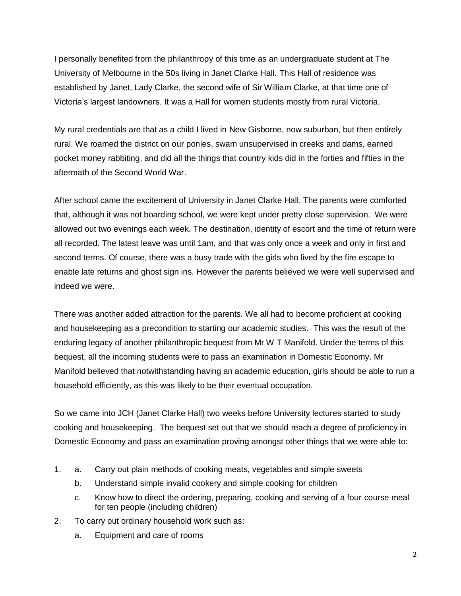I personally benefited from the philanthropy of this time as an undergraduate student at The University of Melbourne in the 50s living in Janet Clarke Hall. This Hall of residence was established by Janet, Lady Clarke, the second wife of Sir William Clarke, at that time one of Victoria's largest landowners. It was a Hall for women students mostly from rural Victoria.

My rural credentials are that as a child I lived in New Gisborne, now suburban, but then entirely rural. We roamed the district on our ponies, swam unsupervised in creeks and dams, earned pocket money rabbiting, and did all the things that country kids did in the forties and fifties in the aftermath of the Second World War.

After school came the excitement of University in Janet Clarke Hall. The parents were comforted that, although it was not boarding school, we were kept under pretty close supervision. We were allowed out two evenings each week. The destination, identity of escort and the time of return were all recorded. The latest leave was until 1am, and that was only once a week and only in first and second terms. Of course, there was a busy trade with the girls who lived by the fire escape to enable late returns and ghost sign ins. However the parents believed we were well supervised and indeed we were.

There was another added attraction for the parents. We all had to become proficient at cooking and housekeeping as a precondition to starting our academic studies. This was the result of the enduring legacy of another philanthropic bequest from Mr W T Manifold. Under the terms of this bequest, all the incoming students were to pass an examination in Domestic Economy. Mr Manifold believed that notwithstanding having an academic education, girls should be able to run a household efficiently, as this was likely to be their eventual occupation.

So we came into JCH (Janet Clarke Hall) two weeks before University lectures started to study cooking and housekeeping. The bequest set out that we should reach a degree of proficiency in Domestic Economy and pass an examination proving amongst other things that we were able to:

- 1. a. Carry out plain methods of cooking meats, vegetables and simple sweets
	- b. Understand simple invalid cookery and simple cooking for children
	- c. Know how to direct the ordering, preparing, cooking and serving of a four course meal for ten people (including children)
- 2. To carry out ordinary household work such as:
	- a. Equipment and care of rooms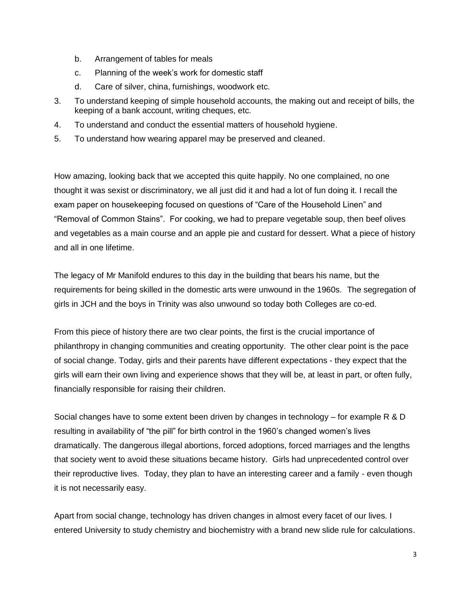- b. Arrangement of tables for meals
- c. Planning of the week's work for domestic staff
- d. Care of silver, china, furnishings, woodwork etc.
- 3. To understand keeping of simple household accounts, the making out and receipt of bills, the keeping of a bank account, writing cheques, etc.
- 4. To understand and conduct the essential matters of household hygiene.
- 5. To understand how wearing apparel may be preserved and cleaned.

How amazing, looking back that we accepted this quite happily. No one complained, no one thought it was sexist or discriminatory, we all just did it and had a lot of fun doing it. I recall the exam paper on housekeeping focused on questions of "Care of the Household Linen" and "Removal of Common Stains". For cooking, we had to prepare vegetable soup, then beef olives and vegetables as a main course and an apple pie and custard for dessert. What a piece of history and all in one lifetime.

The legacy of Mr Manifold endures to this day in the building that bears his name, but the requirements for being skilled in the domestic arts were unwound in the 1960s. The segregation of girls in JCH and the boys in Trinity was also unwound so today both Colleges are co-ed.

From this piece of history there are two clear points, the first is the crucial importance of philanthropy in changing communities and creating opportunity. The other clear point is the pace of social change. Today, girls and their parents have different expectations - they expect that the girls will earn their own living and experience shows that they will be, at least in part, or often fully, financially responsible for raising their children.

Social changes have to some extent been driven by changes in technology – for example R & D resulting in availability of "the pill" for birth control in the 1960's changed women's lives dramatically. The dangerous illegal abortions, forced adoptions, forced marriages and the lengths that society went to avoid these situations became history. Girls had unprecedented control over their reproductive lives. Today, they plan to have an interesting career and a family - even though it is not necessarily easy.

Apart from social change, technology has driven changes in almost every facet of our lives. I entered University to study chemistry and biochemistry with a brand new slide rule for calculations.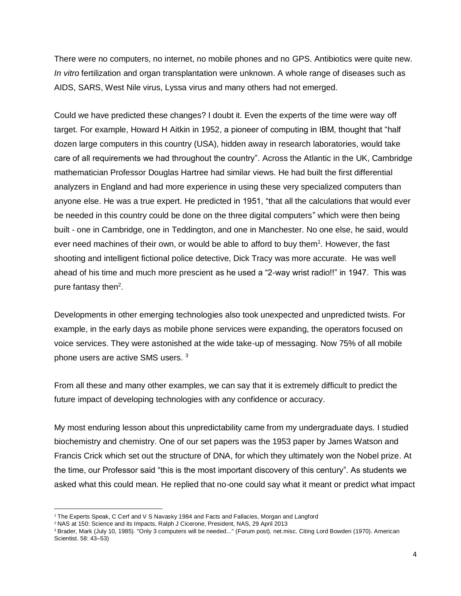There were no computers, no internet, no mobile phones and no GPS. Antibiotics were quite new. *In vitro* fertilization and organ transplantation were unknown. A whole range of diseases such as AIDS, SARS, West Nile virus, Lyssa virus and many others had not emerged.

Could we have predicted these changes? I doubt it. Even the experts of the time were way off target. For example, Howard H Aitkin in 1952, a pioneer of computing in IBM, thought that "half dozen large computers in this country (USA), hidden away in research laboratories, would take care of all requirements we had throughout the country". Across the Atlantic in the UK, Cambridge mathematician Professor [Douglas Hartree](http://en.wikipedia.org/wiki/Douglas_Hartree) had similar views. He had built the first differential analyzers in England and had more experience in using these very specialized computers than anyone else. He was a true expert. He predicted in 1951, "that all the calculations that would ever be needed in this country could be done on the three digital computers" which were then being built - one in Cambridge, one in [Teddington,](http://en.wikipedia.org/wiki/National_Physical_Laboratory,_UK) and one in Manchester. No one else, he said, would ever need machines of their own, or would be able to afford to buy them $1$ . However, the fast shooting and intelligent fictional police detective, Dick Tracy was more accurate. He was well ahead of his time and much more prescient as he used a "2-way wrist radio!!" in 1947. This was pure fantasy then<sup>2</sup>.

Developments in other emerging technologies also took unexpected and unpredicted twists. For example, in the early days as mobile phone services were expanding, the operators focused on voice services. They were astonished at the wide take-up of messaging. Now 75% of all mobile phone users are active SMS users. <sup>3</sup>

From all these and many other examples, we can say that it is extremely difficult to predict the future impact of developing technologies with any confidence or accuracy.

My most enduring lesson about this unpredictability came from my undergraduate days. I studied biochemistry and chemistry. One of our set papers was the 1953 paper by James Watson and Francis Crick which set out the structure of DNA, for which they ultimately won the Nobel prize. At the time, our Professor said "this is the most important discovery of this century". As students we asked what this could mean. He replied that no-one could say what it meant or predict what impact

 $\overline{a}$ 

<sup>&</sup>lt;sup>1</sup> The Experts Speak, C Cerf and V S Navasky 1984 and Facts and Fallacies, Morgan and Langford

<sup>2</sup> NAS at 150: Science and its Impacts, Ralph J Cicerone, President, NAS, 29 April 2013

<sup>&</sup>lt;sup>3</sup> Brader, Mark (July 10, 1985). ["Only 3 computers will be needed..."](http://groups-beta.google.com/group/net.misc/msg/00c91c2cc0896b77) (Forum post). net.misc. Citing [Lord Bowden](http://en.wikipedia.org/wiki/B.V._Bowden) (1970). American Scientist. 58: 43–53)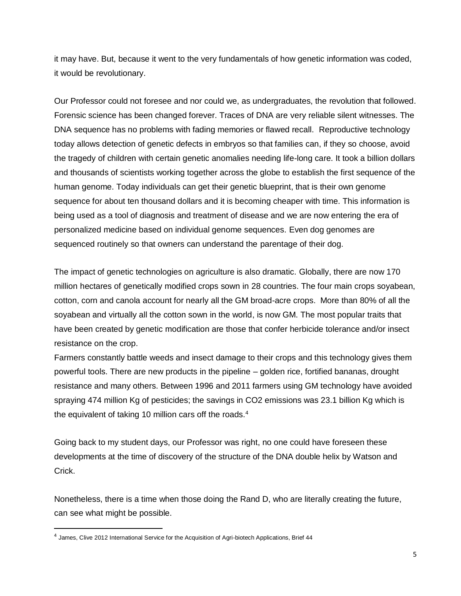it may have. But, because it went to the very fundamentals of how genetic information was coded, it would be revolutionary.

Our Professor could not foresee and nor could we, as undergraduates, the revolution that followed. Forensic science has been changed forever. Traces of DNA are very reliable silent witnesses. The DNA sequence has no problems with fading memories or flawed recall. Reproductive technology today allows detection of genetic defects in embryos so that families can, if they so choose, avoid the tragedy of children with certain genetic anomalies needing life-long care. It took a billion dollars and thousands of scientists working together across the globe to establish the first sequence of the human genome. Today individuals can get their genetic blueprint, that is their own genome sequence for about ten thousand dollars and it is becoming cheaper with time. This information is being used as a tool of diagnosis and treatment of disease and we are now entering the era of personalized medicine based on individual genome sequences. Even dog genomes are sequenced routinely so that owners can understand the parentage of their dog.

The impact of genetic technologies on agriculture is also dramatic. Globally, there are now 170 million hectares of genetically modified crops sown in 28 countries. The four main crops soyabean, cotton, corn and canola account for nearly all the GM broad-acre crops. More than 80% of all the soyabean and virtually all the cotton sown in the world, is now GM. The most popular traits that have been created by genetic modification are those that confer herbicide tolerance and/or insect resistance on the crop.

Farmers constantly battle weeds and insect damage to their crops and this technology gives them powerful tools. There are new products in the pipeline – golden rice, fortified bananas, drought resistance and many others. Between 1996 and 2011 farmers using GM technology have avoided spraying 474 million Kg of pesticides; the savings in CO2 emissions was 23.1 billion Kg which is the equivalent of taking 10 million cars off the roads.<sup>4</sup>

Going back to my student days, our Professor was right, no one could have foreseen these developments at the time of discovery of the structure of the DNA double helix by Watson and Crick.

Nonetheless, there is a time when those doing the Rand D, who are literally creating the future, can see what might be possible.

 $\overline{\phantom{a}}$ 

<sup>&</sup>lt;sup>4</sup> James, Clive 2012 International Service for the Acquisition of Agri-biotech Applications, Brief 44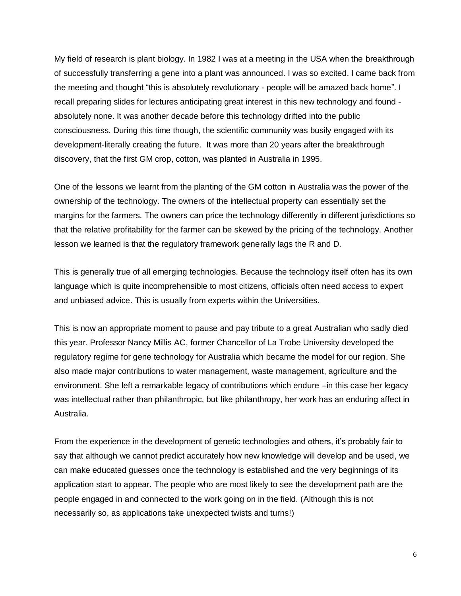My field of research is plant biology. In 1982 I was at a meeting in the USA when the breakthrough of successfully transferring a gene into a plant was announced. I was so excited. I came back from the meeting and thought "this is absolutely revolutionary - people will be amazed back home". I recall preparing slides for lectures anticipating great interest in this new technology and found absolutely none. It was another decade before this technology drifted into the public consciousness. During this time though, the scientific community was busily engaged with its development-literally creating the future. It was more than 20 years after the breakthrough discovery, that the first GM crop, cotton, was planted in Australia in 1995.

One of the lessons we learnt from the planting of the GM cotton in Australia was the power of the ownership of the technology. The owners of the intellectual property can essentially set the margins for the farmers. The owners can price the technology differently in different jurisdictions so that the relative profitability for the farmer can be skewed by the pricing of the technology. Another lesson we learned is that the regulatory framework generally lags the R and D.

This is generally true of all emerging technologies. Because the technology itself often has its own language which is quite incomprehensible to most citizens, officials often need access to expert and unbiased advice. This is usually from experts within the Universities.

This is now an appropriate moment to pause and pay tribute to a great Australian who sadly died this year. Professor Nancy Millis AC, former Chancellor of La Trobe University developed the regulatory regime for gene technology for Australia which became the model for our region. She also made major contributions to water management, waste management, agriculture and the environment. She left a remarkable legacy of contributions which endure –in this case her legacy was intellectual rather than philanthropic, but like philanthropy, her work has an enduring affect in Australia.

From the experience in the development of genetic technologies and others, it's probably fair to say that although we cannot predict accurately how new knowledge will develop and be used, we can make educated guesses once the technology is established and the very beginnings of its application start to appear. The people who are most likely to see the development path are the people engaged in and connected to the work going on in the field. (Although this is not necessarily so, as applications take unexpected twists and turns!)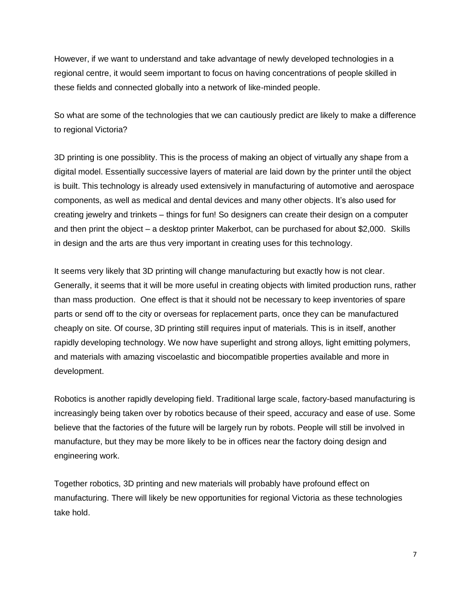However, if we want to understand and take advantage of newly developed technologies in a regional centre, it would seem important to focus on having concentrations of people skilled in these fields and connected globally into a network of like-minded people.

So what are some of the technologies that we can cautiously predict are likely to make a difference to regional Victoria?

3D printing is one possiblity. This is the process of making an object of virtually any shape from a digital model. Essentially successive layers of material are laid down by the printer until the object is built. This technology is already used extensively in manufacturing of automotive and aerospace components, as well as medical and dental devices and many other objects. It's also used for creating jewelry and trinkets – things for fun! So designers can create their design on a computer and then print the object – a desktop printer Makerbot, can be purchased for about \$2,000. Skills in design and the arts are thus very important in creating uses for this technology.

It seems very likely that 3D printing will change manufacturing but exactly how is not clear. Generally, it seems that it will be more useful in creating objects with limited production runs, rather than mass production. One effect is that it should not be necessary to keep inventories of spare parts or send off to the city or overseas for replacement parts, once they can be manufactured cheaply on site. Of course, 3D printing still requires input of materials. This is in itself, another rapidly developing technology. We now have superlight and strong alloys, light emitting polymers, and materials with amazing viscoelastic and biocompatible properties available and more in development.

Robotics is another rapidly developing field. Traditional large scale, factory-based manufacturing is increasingly being taken over by robotics because of their speed, accuracy and ease of use. Some believe that the factories of the future will be largely run by robots. People will still be involved in manufacture, but they may be more likely to be in offices near the factory doing design and engineering work.

Together robotics, 3D printing and new materials will probably have profound effect on manufacturing. There will likely be new opportunities for regional Victoria as these technologies take hold.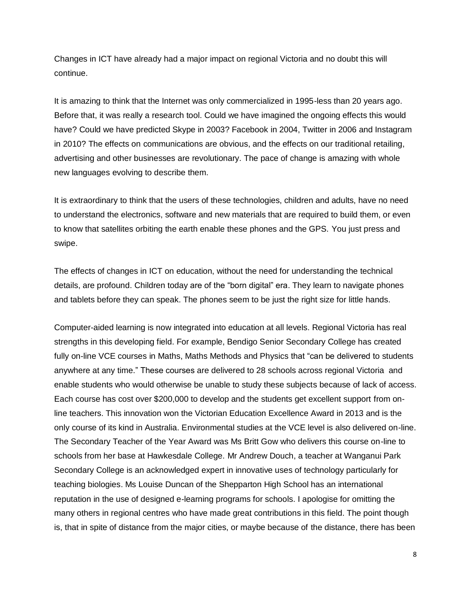Changes in ICT have already had a major impact on regional Victoria and no doubt this will continue.

It is amazing to think that the Internet was only commercialized in 1995-less than 20 years ago. Before that, it was really a research tool. Could we have imagined the ongoing effects this would have? Could we have predicted Skype in 2003? Facebook in 2004, Twitter in 2006 and Instagram in 2010? The effects on communications are obvious, and the effects on our traditional retailing, advertising and other businesses are revolutionary. The pace of change is amazing with whole new languages evolving to describe them.

It is extraordinary to think that the users of these technologies, children and adults, have no need to understand the electronics, software and new materials that are required to build them, or even to know that satellites orbiting the earth enable these phones and the GPS. You just press and swipe.

The effects of changes in ICT on education, without the need for understanding the technical details, are profound. Children today are of the "born digital" era. They learn to navigate phones and tablets before they can speak. The phones seem to be just the right size for little hands.

Computer-aided learning is now integrated into education at all levels. Regional Victoria has real strengths in this developing field. For example, Bendigo Senior Secondary College has created fully on-line VCE courses in Maths, Maths Methods and Physics that "can be delivered to students anywhere at any time." These courses are delivered to 28 schools across regional Victoria and enable students who would otherwise be unable to study these subjects because of lack of access. Each course has cost over \$200,000 to develop and the students get excellent support from online teachers. This innovation won the Victorian Education Excellence Award in 2013 and is the only course of its kind in Australia. Environmental studies at the VCE level is also delivered on-line. The Secondary Teacher of the Year Award was Ms Britt Gow who delivers this course on-line to schools from her base at Hawkesdale College. Mr Andrew Douch, a teacher at Wanganui Park Secondary College is an acknowledged expert in innovative uses of technology particularly for teaching biologies. Ms Louise Duncan of the Shepparton High School has an international reputation in the use of designed e-learning programs for schools. I apologise for omitting the many others in regional centres who have made great contributions in this field. The point though is, that in spite of distance from the major cities, or maybe because of the distance, there has been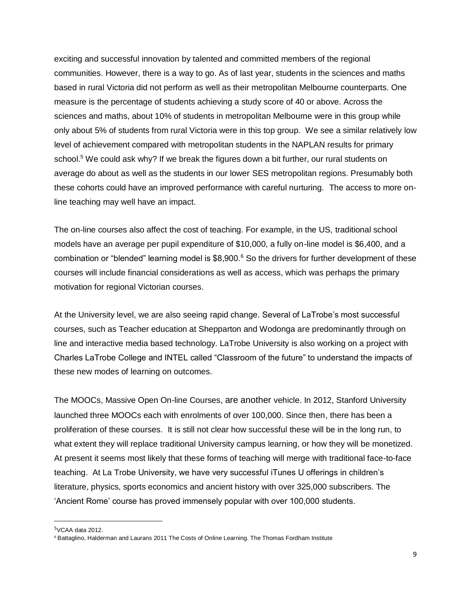exciting and successful innovation by talented and committed members of the regional communities. However, there is a way to go. As of last year, students in the sciences and maths based in rural Victoria did not perform as well as their metropolitan Melbourne counterparts. One measure is the percentage of students achieving a study score of 40 or above. Across the sciences and maths, about 10% of students in metropolitan Melbourne were in this group while only about 5% of students from rural Victoria were in this top group. We see a similar relatively low level of achievement compared with metropolitan students in the NAPLAN results for primary school.<sup>5</sup> We could ask why? If we break the figures down a bit further, our rural students on average do about as well as the students in our lower SES metropolitan regions. Presumably both these cohorts could have an improved performance with careful nurturing. The access to more online teaching may well have an impact.

The on-line courses also affect the cost of teaching. For example, in the US, traditional school models have an average per pupil expenditure of \$10,000, a fully on-line model is \$6,400, and a combination or "blended" learning model is \$8,900.<sup>6</sup> So the drivers for further development of these courses will include financial considerations as well as access, which was perhaps the primary motivation for regional Victorian courses.

At the University level, we are also seeing rapid change. Several of LaTrobe's most successful courses, such as Teacher education at Shepparton and Wodonga are predominantly through on line and interactive media based technology. LaTrobe University is also working on a project with Charles LaTrobe College and INTEL called "Classroom of the future" to understand the impacts of these new modes of learning on outcomes.

The MOOCs, Massive Open On-line Courses, are another vehicle. In 2012, Stanford University launched three MOOCs each with enrolments of over 100,000. Since then, there has been a proliferation of these courses. It is still not clear how successful these will be in the long run, to what extent they will replace traditional University campus learning, or how they will be monetized. At present it seems most likely that these forms of teaching will merge with traditional face-to-face teaching. At La Trobe University, we have very successful iTunes U offerings in children's literature, physics, sports economics and ancient history with over 325,000 subscribers. The 'Ancient Rome' course has proved immensely popular with over 100,000 students.

 $\overline{\phantom{a}}$ 

 $5$ VCAA data 2012.

<sup>6</sup> Battaglino, Halderman and Laurans 2011 The Costs of Online Learning. The Thomas Fordham Institute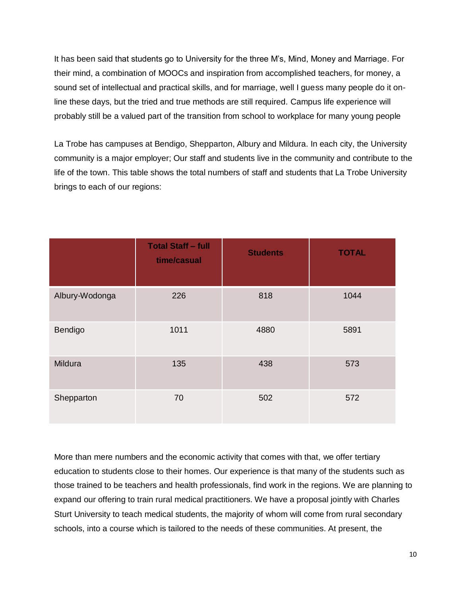It has been said that students go to University for the three M's, Mind, Money and Marriage. For their mind, a combination of MOOCs and inspiration from accomplished teachers, for money, a sound set of intellectual and practical skills, and for marriage, well I guess many people do it online these days, but the tried and true methods are still required. Campus life experience will probably still be a valued part of the transition from school to workplace for many young people

La Trobe has campuses at Bendigo, Shepparton, Albury and Mildura. In each city, the University community is a major employer; Our staff and students live in the community and contribute to the life of the town. This table shows the total numbers of staff and students that La Trobe University brings to each of our regions:

|                | <b>Total Staff - full</b><br>time/casual | <b>Students</b> | <b>TOTAL</b> |
|----------------|------------------------------------------|-----------------|--------------|
| Albury-Wodonga | 226                                      | 818             | 1044         |
| Bendigo        | 1011                                     | 4880            | 5891         |
| Mildura        | 135                                      | 438             | 573          |
| Shepparton     | 70                                       | 502             | 572          |

More than mere numbers and the economic activity that comes with that, we offer tertiary education to students close to their homes. Our experience is that many of the students such as those trained to be teachers and health professionals, find work in the regions. We are planning to expand our offering to train rural medical practitioners. We have a proposal jointly with Charles Sturt University to teach medical students, the majority of whom will come from rural secondary schools, into a course which is tailored to the needs of these communities. At present, the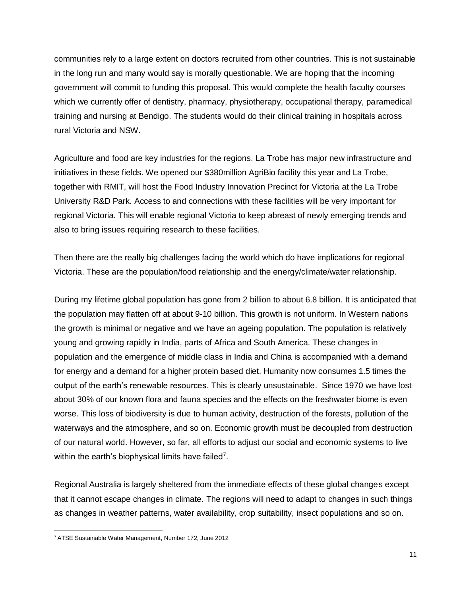communities rely to a large extent on doctors recruited from other countries. This is not sustainable in the long run and many would say is morally questionable. We are hoping that the incoming government will commit to funding this proposal. This would complete the health faculty courses which we currently offer of dentistry, pharmacy, physiotherapy, occupational therapy, paramedical training and nursing at Bendigo. The students would do their clinical training in hospitals across rural Victoria and NSW.

Agriculture and food are key industries for the regions. La Trobe has major new infrastructure and initiatives in these fields. We opened our \$380million AgriBio facility this year and La Trobe, together with RMIT, will host the Food Industry Innovation Precinct for Victoria at the La Trobe University R&D Park. Access to and connections with these facilities will be very important for regional Victoria. This will enable regional Victoria to keep abreast of newly emerging trends and also to bring issues requiring research to these facilities.

Then there are the really big challenges facing the world which do have implications for regional Victoria. These are the population/food relationship and the energy/climate/water relationship.

During my lifetime global population has gone from 2 billion to about 6.8 billion. It is anticipated that the population may flatten off at about 9-10 billion. This growth is not uniform. In Western nations the growth is minimal or negative and we have an ageing population. The population is relatively young and growing rapidly in India, parts of Africa and South America. These changes in population and the emergence of middle class in India and China is accompanied with a demand for energy and a demand for a higher protein based diet. Humanity now consumes 1.5 times the output of the earth's renewable resources. This is clearly unsustainable. Since 1970 we have lost about 30% of our known flora and fauna species and the effects on the freshwater biome is even worse. This loss of biodiversity is due to human activity, destruction of the forests, pollution of the waterways and the atmosphere, and so on. Economic growth must be decoupled from destruction of our natural world. However, so far, all efforts to adjust our social and economic systems to live within the earth's biophysical limits have failed<sup>7</sup>.

Regional Australia is largely sheltered from the immediate effects of these global changes except that it cannot escape changes in climate. The regions will need to adapt to changes in such things as changes in weather patterns, water availability, crop suitability, insect populations and so on.

 $\overline{a}$ 

<sup>7</sup> ATSE Sustainable Water Management, Number 172, June 2012